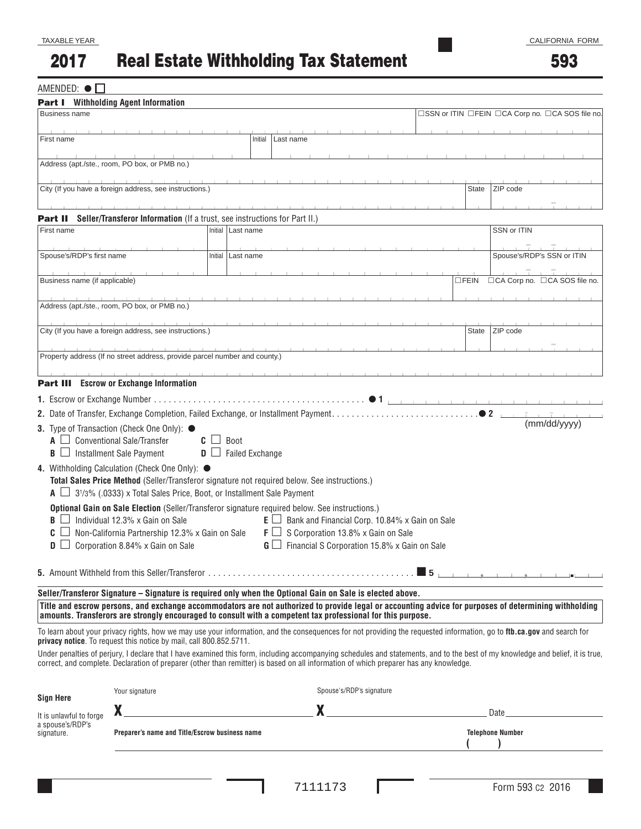593

### $AMENDED:  $\bullet \Box$$

| <b>Part I</b> Withholding Agent Information               |                                                                                                                                          |                                    |           |                                                           |                                                           |                |                                                                                                                                                                                                                               |
|-----------------------------------------------------------|------------------------------------------------------------------------------------------------------------------------------------------|------------------------------------|-----------|-----------------------------------------------------------|-----------------------------------------------------------|----------------|-------------------------------------------------------------------------------------------------------------------------------------------------------------------------------------------------------------------------------|
| <b>Business name</b>                                      |                                                                                                                                          |                                    |           |                                                           |                                                           |                | □SSN or ITIN □FEIN □CA Corp no. □CA SOS file no.                                                                                                                                                                              |
| First name                                                |                                                                                                                                          | Initial                            | Last name |                                                           |                                                           |                |                                                                                                                                                                                                                               |
|                                                           |                                                                                                                                          |                                    |           |                                                           |                                                           |                |                                                                                                                                                                                                                               |
|                                                           | Address (apt./ste., room, PO box, or PMB no.)                                                                                            |                                    |           |                                                           |                                                           |                |                                                                                                                                                                                                                               |
|                                                           | City (If you have a foreign address, see instructions.)                                                                                  |                                    |           |                                                           |                                                           | State          | ZIP code                                                                                                                                                                                                                      |
|                                                           |                                                                                                                                          |                                    |           |                                                           |                                                           |                |                                                                                                                                                                                                                               |
| Part II                                                   | Seller/Transferor Information (If a trust, see instructions for Part II.)                                                                |                                    |           |                                                           |                                                           |                |                                                                                                                                                                                                                               |
| First name                                                |                                                                                                                                          | Initial   Last name                |           |                                                           |                                                           |                | SSN or ITIN                                                                                                                                                                                                                   |
|                                                           |                                                                                                                                          |                                    |           |                                                           |                                                           |                |                                                                                                                                                                                                                               |
| Spouse's/RDP's first name                                 |                                                                                                                                          | Initial   Last name                |           |                                                           |                                                           |                | Spouse's/RDP's SSN or ITIN                                                                                                                                                                                                    |
| Business name (if applicable)                             |                                                                                                                                          |                                    |           |                                                           |                                                           | $\square$ FEIN | □CA Corp no. □CA SOS file no.                                                                                                                                                                                                 |
|                                                           |                                                                                                                                          |                                    |           |                                                           |                                                           |                |                                                                                                                                                                                                                               |
|                                                           | Address (apt./ste., room, PO box, or PMB no.)                                                                                            |                                    |           |                                                           |                                                           |                |                                                                                                                                                                                                                               |
|                                                           |                                                                                                                                          |                                    |           |                                                           |                                                           |                |                                                                                                                                                                                                                               |
|                                                           | City (If you have a foreign address, see instructions.)                                                                                  |                                    |           |                                                           |                                                           | State          | ZIP code                                                                                                                                                                                                                      |
|                                                           | Property address (If no street address, provide parcel number and county.)                                                               |                                    |           |                                                           |                                                           |                |                                                                                                                                                                                                                               |
|                                                           |                                                                                                                                          |                                    |           |                                                           |                                                           |                |                                                                                                                                                                                                                               |
|                                                           | <b>Part III</b> Escrow or Exchange Information                                                                                           |                                    |           |                                                           |                                                           |                |                                                                                                                                                                                                                               |
|                                                           |                                                                                                                                          |                                    |           |                                                           |                                                           |                |                                                                                                                                                                                                                               |
|                                                           |                                                                                                                                          |                                    |           |                                                           |                                                           | $\bullet$ 2    |                                                                                                                                                                                                                               |
|                                                           | 3. Type of Transaction (Check One Only): ●                                                                                               |                                    |           |                                                           |                                                           |                | (mm/dd/yyyy)                                                                                                                                                                                                                  |
|                                                           | $\Box$ Conventional Sale/Transfer                                                                                                        | Boot<br>$C \Box$                   |           |                                                           |                                                           |                |                                                                                                                                                                                                                               |
| $\mathbf{B} \square$ Installment Sale Payment             |                                                                                                                                          | <b>Failed Exchange</b><br>$D \Box$ |           |                                                           |                                                           |                |                                                                                                                                                                                                                               |
|                                                           | 4. Withholding Calculation (Check One Only): $\bullet$                                                                                   |                                    |           |                                                           |                                                           |                |                                                                                                                                                                                                                               |
|                                                           | Total Sales Price Method (Seller/Transferor signature not required below. See instructions.)                                             |                                    |           |                                                           |                                                           |                |                                                                                                                                                                                                                               |
|                                                           | $\overline{A}$ $\Box$ 3 <sup>1</sup> /3% (.0333) x Total Sales Price, Boot, or Installment Sale Payment                                  |                                    |           |                                                           |                                                           |                |                                                                                                                                                                                                                               |
| B                                                         | Optional Gain on Sale Election (Seller/Transferor signature required below. See instructions.)<br>$\Box$ Individual 12.3% x Gain on Sale |                                    |           | $E \Box$ Bank and Financial Corp. 10.84% x Gain on Sale   |                                                           |                |                                                                                                                                                                                                                               |
|                                                           | Non-California Partnership 12.3% x Gain on Sale                                                                                          |                                    |           | $\mathsf{F} \square$ S Corporation 13.8% x Gain on Sale   |                                                           |                |                                                                                                                                                                                                                               |
|                                                           | Corporation 8.84% x Gain on Sale                                                                                                         |                                    |           | $\mathbf{G}$ Financial S Corporation 15.8% x Gain on Sale |                                                           |                |                                                                                                                                                                                                                               |
|                                                           |                                                                                                                                          |                                    |           |                                                           |                                                           |                |                                                                                                                                                                                                                               |
|                                                           |                                                                                                                                          |                                    |           |                                                           |                                                           |                |                                                                                                                                                                                                                               |
|                                                           | Seller/Transferor Signature - Signature is required only when the Optional Gain on Sale is elected above.                                |                                    |           |                                                           |                                                           |                |                                                                                                                                                                                                                               |
|                                                           | amounts. Transferors are strongly encouraged to consult with a competent tax professional for this purpose.                              |                                    |           |                                                           |                                                           |                | Title and escrow persons, and exchange accommodators are not authorized to provide legal or accounting advice for purposes of determining withholding                                                                         |
|                                                           | <b>privacy notice.</b> To request this notice by mail, call 800.852.5711.                                                                |                                    |           |                                                           |                                                           |                | To learn about your privacy rights, how we may use your information, and the consequences for not providing the requested information, go to ftb.ca.gov and search for                                                        |
|                                                           | correct, and complete. Declaration of preparer (other than remitter) is based on all information of which preparer has any knowledge.    |                                    |           |                                                           |                                                           |                | Under penalties of perjury, I declare that I have examined this form, including accompanying schedules and statements, and to the best of my knowledge and belief, it is true,                                                |
| <b>Sign Here</b>                                          | Your signature                                                                                                                           |                                    |           | Spouse's/RDP's signature                                  |                                                           |                |                                                                                                                                                                                                                               |
|                                                           |                                                                                                                                          |                                    |           |                                                           | <u> 1980 - Andrea Station Books, amerikansk politik (</u> |                | Date has been assessed by the series of the series of the series of the series of the series of the series of the series of the series of the series of the series of the series of the series of the series of the series of |
| It is unlawful to forge<br>a spouse's/RDP's<br>signature. | Preparer's name and Title/Escrow business name                                                                                           |                                    |           |                                                           |                                                           |                | <b>Telephone Number</b>                                                                                                                                                                                                       |
|                                                           |                                                                                                                                          |                                    |           |                                                           |                                                           |                |                                                                                                                                                                                                                               |

I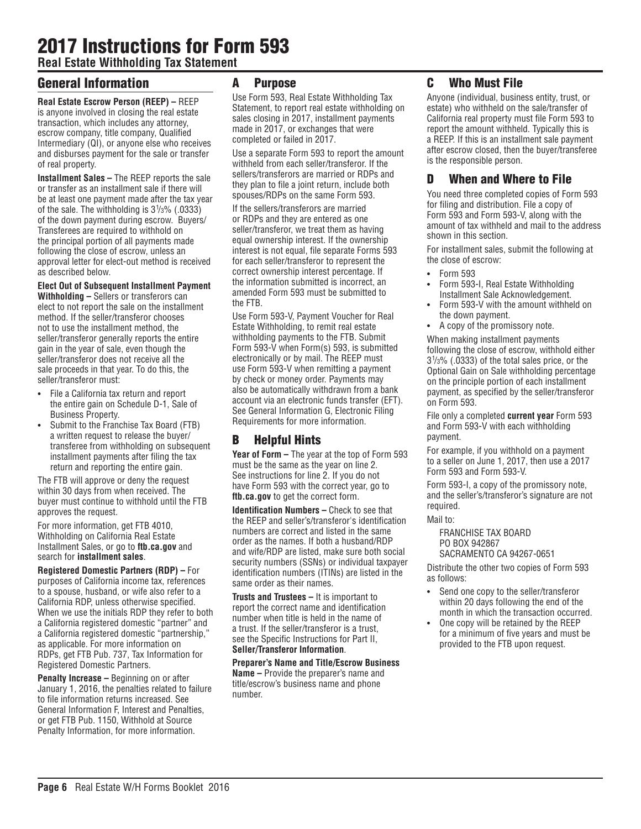# 2017 Instructions for Form 593

**Real Estate Withholding Tax Statement**

# General Information

**Real Estate Escrow Person (REEP) –** REEP is anyone involved in closing the real estate transaction, which includes any attorney, escrow company, title company, Qualified Intermediary (QI), or anyone else who receives and disburses payment for the sale or transfer of real property.

**Installment Sales –** The REEP reports the sale or transfer as an installment sale if there will be at least one payment made after the tax year of the sale. The withholding is  $3\frac{1}{3}\%$  (.0333) of the down payment during escrow. Buyers/ Transferees are required to withhold on the principal portion of all payments made following the close of escrow, unless an approval letter for elect-out method is received as described below.

### **Elect Out of Subsequent Installment Payment**

**Withholding –** Sellers or transferors can elect to not report the sale on the installment method. If the seller/transferor chooses not to use the installment method, the seller/transferor generally reports the entire gain in the year of sale, even though the seller/transferor does not receive all the sale proceeds in that year. To do this, the seller/transferor must:

- **•** File a California tax return and report the entire gain on Schedule D-1, Sale of Business Property.
- **•** Submit to the Franchise Tax Board (FTB) a written request to release the buyer/ transferee from withholding on subsequent installment payments after filing the tax return and reporting the entire gain.

The FTB will approve or deny the request within 30 days from when received. The buyer must continue to withhold until the FTB approves the request.

For more information, get FTB 4010, Withholding on California Real Estate Installment Sales, or go to **ftb.ca.gov** and search for **installment sales**.

**Registered Domestic Partners (RDP) –** For purposes of California income tax, references to a spouse, husband, or wife also refer to a California RDP, unless otherwise specified. When we use the initials RDP they refer to both a California registered domestic "partner" and a California registered domestic "partnership," as applicable. For more information on RDPs, get FTB Pub. 737, Tax Information for Registered Domestic Partners.

**Penalty Increase – Beginning on or after** January 1, 2016, the penalties related to failure to file information returns increased. See General Information F, Interest and Penalties, or get FTB Pub. 1150, Withhold at Source Penalty Information, for more information.

### A Purpose

Use Form 593, Real Estate Withholding Tax Statement, to report real estate withholding on sales closing in 2017, installment payments made in 2017, or exchanges that were completed or failed in 2017.

Use a separate Form 593 to report the amount withheld from each seller/transferor. If the sellers/transferors are married or RDPs and they plan to file a joint return, include both spouses/RDPs on the same Form 593.

If the sellers/transferors are married or RDPs and they are entered as one seller/transferor, we treat them as having equal ownership interest. If the ownership interest is not equal, file separate Forms 593 for each seller/transferor to represent the correct ownership interest percentage. If the information submitted is incorrect, an amended Form 593 must be submitted to the FTB.

Use Form 593-V, Payment Voucher for Real Estate Withholding, to remit real estate withholding payments to the FTB. Submit Form 593-V when Form(s) 593, is submitted electronically or by mail. The REEP must use Form 593-V when remitting a payment by check or money order. Payments may also be automatically withdrawn from a bank account via an electronic funds transfer (EFT). See General Information G, Electronic Filing Requirements for more information.

# B Helpful Hints

**Year of Form –** The year at the top of Form 593 must be the same as the year on line 2. See instructions for line 2. If you do not have Form 593 with the correct year, go to **ftb.ca.gov** to get the correct form.

**Identification Numbers –** Check to see that the REEP and seller's/transferor's identification numbers are correct and listed in the same order as the names. If both a husband/RDP and wife/RDP are listed, make sure both social security numbers (SSNs) or individual taxpayer identification numbers (ITINs) are listed in the same order as their names.

**Trusts and Trustees –** It is important to report the correct name and identification number when title is held in the name of a trust. If the seller/transferor is a trust, see the Specific Instructions for Part II, **Seller/Transferor Information**.

**Preparer's Name and Title/Escrow Business Name –** Provide the preparer's name and title/escrow's business name and phone number.

# C Who Must File

Anyone (individual, business entity, trust, or estate) who withheld on the sale/transfer of California real property must file Form 593 to report the amount withheld. Typically this is a REEP. If this is an installment sale payment after escrow closed, then the buyer/transferee is the responsible person.

## D When and Where to File

You need three completed copies of Form 593 for filing and distribution. File a copy of Form 593 and Form 593-V, along with the amount of tax withheld and mail to the address shown in this section.

For installment sales, submit the following at the close of escrow:

- **•** Form 593
- **•** Form 593-I, Real Estate Withholding Installment Sale Acknowledgement.
- **•** Form 593-V with the amount withheld on the down payment.
- **•** A copy of the promissory note.

When making installment payments following the close of escrow, withhold either 31 /3% (.0333) of the total sales price, or the Optional Gain on Sale withholding percentage on the principle portion of each installment payment, as specified by the seller/transferor on Form 593.

File only a completed **current year** Form 593 and Form 593-V with each withholding payment.

For example, if you withhold on a payment to a seller on June 1, 2017, then use a 2017 Form 593 and Form 593-V.

Form 593-I, a copy of the promissory note, and the seller's/transferor's signature are not required.

Mail to:

FRANCHISE TAX BOARD PO BOX 942867 SACRAMENTO CA 94267-0651

Distribute the other two copies of Form 593 as follows:

- **•** Send one copy to the seller/transferor within 20 days following the end of the month in which the transaction occurred.
- **•** One copy will be retained by the REEP for a minimum of five years and must be provided to the FTB upon request.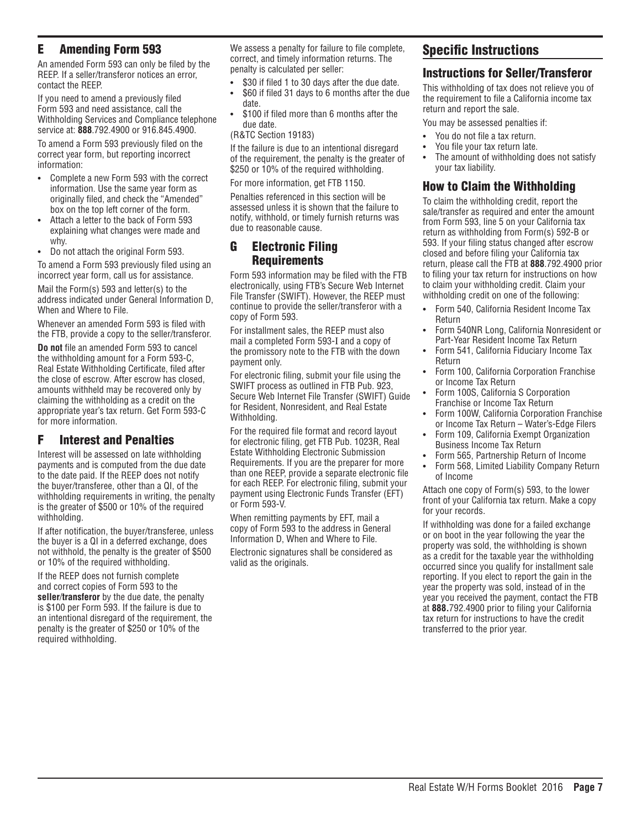## E Amending Form 593

An amended Form 593 can only be filed by the REEP. If a seller/transferor notices an error, contact the REEP.

If you need to amend a previously filed Form 593 and need assistance, call the Withholding Services and Compliance telephone service at: **888**.792.4900 or 916.845.4900.

To amend a Form 593 previously filed on the correct year form, but reporting incorrect information:

- **•** Complete a new Form 593 with the correct information. Use the same year form as originally filed, and check the "Amended" box on the top left corner of the form.
- **•** Attach a letter to the back of Form 593 explaining what changes were made and why.
- **•** Do not attach the original Form 593.

To amend a Form 593 previously filed using an incorrect year form, call us for assistance.

Mail the Form(s) 593 and letter(s) to the address indicated under General Information D, When and Where to File.

Whenever an amended Form 593 is filed with the FTB, provide a copy to the seller/transferor.

**Do not** file an amended Form 593 to cancel the withholding amount for a Form 593-C, Real Estate Withholding Certificate, filed after the close of escrow. After escrow has closed, amounts withheld may be recovered only by claiming the withholding as a credit on the appropriate year's tax return. Get Form 593-C for more information.

## F Interest and Penalties

Interest will be assessed on late withholding payments and is computed from the due date to the date paid. If the REEP does not notify the buyer/transferee, other than a QI, of the withholding requirements in writing, the penalty is the greater of \$500 or 10% of the required withholding.

If after notification, the buyer/transferee, unless the buyer is a QI in a deferred exchange, does not withhold, the penalty is the greater of \$500 or 10% of the required withholding.

If the REEP does not furnish complete and correct copies of Form 593 to the **seller**/**transferor** by the due date, the penalty is \$100 per Form 593. If the failure is due to an intentional disregard of the requirement, the penalty is the greater of \$250 or 10% of the required withholding.

We assess a penalty for failure to file complete, correct, and timely information returns. The penalty is calculated per seller:

- **•** \$30 if filed 1 to 30 days after the due date.
- **•** \$60 if filed 31 days to 6 months after the due date.
- **•** \$100 if filed more than 6 months after the due date.

(R&TC Section 19183)

If the failure is due to an intentional disregard of the requirement, the penalty is the greater of \$250 or 10% of the required withholding.

For more information, get FTB 1150.

Penalties referenced in this section will be assessed unless it is shown that the failure to notify, withhold, or timely furnish returns was due to reasonable cause.

### G Electronic Filing Requirements

Form 593 information may be filed with the FTB electronically, using FTB's Secure Web Internet File Transfer (SWIFT). However, the REEP must continue to provide the seller/transferor with a copy of Form 593.

For installment sales, the REEP must also mail a completed Form 593-I and a copy of the promissory note to the FTB with the down payment only.

For electronic filing, submit your file using the SWIFT process as outlined in FTB Pub. 923, Secure Web Internet File Transfer (SWIFT) Guide for Resident, Nonresident, and Real Estate Withholding.

For the required file format and record layout for electronic filing, get FTB Pub. 1023R, Real Estate Withholding Electronic Submission Requirements. If you are the preparer for more than one REEP, provide a separate electronic file for each REEP. For electronic filing, submit your payment using Electronic Funds Transfer (EFT) or Form 593-V.

When remitting payments by EFT, mail a copy of Form 593 to the address in General Information D, When and Where to File.

Electronic signatures shall be considered as valid as the originals.

# Specific Instructions

### Instructions for Seller/Transferor

This withholding of tax does not relieve you of the requirement to file a California income tax return and report the sale.

You may be assessed penalties if:

- **•** You do not file a tax return.
- **•** You file your tax return late.
- **•** The amount of withholding does not satisfy your tax liability.

# How to Claim the Withholding

To claim the withholding credit, report the sale/transfer as required and enter the amount from Form 593, line 5 on your California tax return as withholding from Form(s) 592-B or 593. If your filing status changed after escrow closed and before filing your California tax return, please call the FTB at **888**.792.4900 prior to filing your tax return for instructions on how to claim your withholding credit. Claim your withholding credit on one of the following:

- **•** Form 540, California Resident Income Tax Return
- **•** Form 540NR Long, California Nonresident or Part-Year Resident Income Tax Return
- **•** Form 541, California Fiduciary Income Tax Return
- **•** Form 100, California Corporation Franchise or Income Tax Return
- **•** Form 100S, California S Corporation Franchise or Income Tax Return
- **•** Form 100W, California Corporation Franchise or Income Tax Return – Water's-Edge Filers
- **•** Form 109, California Exempt Organization Business Income Tax Return
- **•** Form 565, Partnership Return of Income
- **•** Form 568, Limited Liability Company Return of Income

Attach one copy of Form(s) 593, to the lower front of your California tax return. Make a copy for your records.

If withholding was done for a failed exchange or on boot in the year following the year the property was sold, the withholding is shown as a credit for the taxable year the withholding occurred since you qualify for installment sale reporting. If you elect to report the gain in the year the property was sold, instead of in the year you received the payment, contact the FTB at **888.**792.4900 prior to filing your California tax return for instructions to have the credit transferred to the prior year.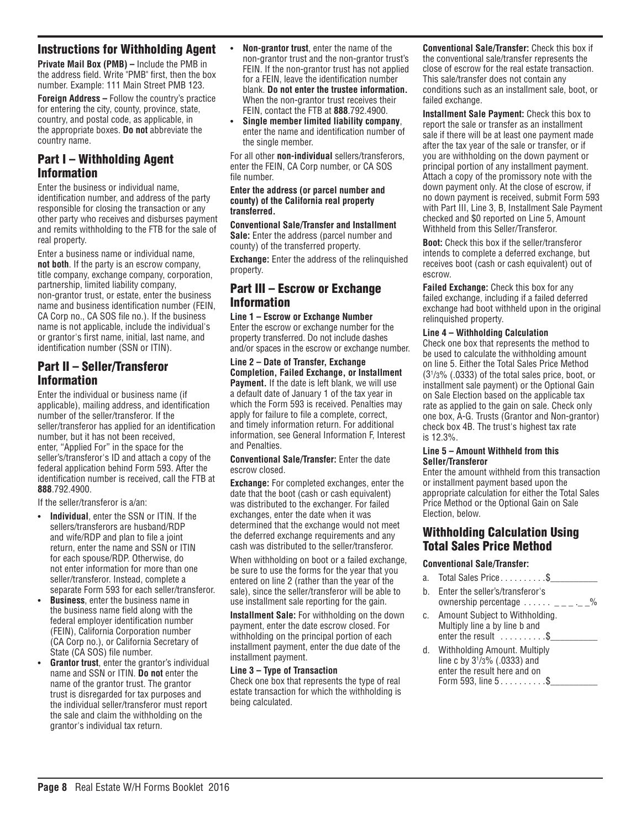**Private Mail Box (PMB) –** Include the PMB in the address field. Write "PMB" first, then the box number. Example: 111 Main Street PMB 123.

**Foreign Address –** Follow the country's practice for entering the city, county, province, state, country, and postal code, as applicable, in the appropriate boxes. **Do not** abbreviate the country name.

# Part I – Withholding Agent Information

Enter the business or individual name, identification number, and address of the party responsible for closing the transaction or any other party who receives and disburses payment and remits withholding to the FTB for the sale of real property.

Enter a business name or individual name, **not both**. If the party is an escrow company, title company, exchange company, corporation, partnership, limited liability company, non-grantor trust, or estate, enter the business name and business identification number (FEIN, CA Corp no., CA SOS file no.). If the business name is not applicable, include the individual's or grantor's first name, initial, last name, and identification number (SSN or ITIN).

# Part II – Seller/Transferor Information

Enter the individual or business name (if applicable), mailing address, and identification number of the seller/transferor. If the seller/transferor has applied for an identification number, but it has not been received, enter, "Applied For" in the space for the seller's/transferor's ID and attach a copy of the federal application behind Form 593. After the identification number is received, call the FTB at **888**.792.4900.

If the seller/transferor is a/an:

- **• Individual**, enter the SSN or ITIN. If the sellers/transferors are husband/RDP and wife/RDP and plan to file a joint return, enter the name and SSN or ITIN for each spouse/RDP. Otherwise, do not enter information for more than one seller/transferor. Instead, complete a separate Form 593 for each seller/transferor.
- **• Business**, enter the business name in the business name field along with the federal employer identification number (FEIN), California Corporation number (CA Corp no.), or California Secretary of State (CA SOS) file number.
- **Grantor trust**, enter the grantor's individual name and SSN or ITIN. **Do not** enter the name of the grantor trust. The grantor trust is disregarded for tax purposes and the individual seller/transferor must report the sale and claim the withholding on the grantor's individual tax return.
- **• Non-grantor trust**, enter the name of the non-grantor trust and the non-grantor trust's FEIN. If the non-grantor trust has not applied for a FEIN, leave the identification number blank. **Do not enter the trustee information.**  When the non-grantor trust receives their FEIN, contact the FTB at **888**.792.4900.
- **• Single member limited liability company**, enter the name and identification number of the single member.

For all other **non-individual** sellers/transferors, enter the FEIN, CA Corp number, or CA SOS file number.

#### **Enter the address (or parcel number and county) of the California real property transferred.**

**Conventional Sale/Transfer and Installment Sale:** Enter the address (parcel number and county) of the transferred property.

**Exchange:** Enter the address of the relinquished property.

### Part III – Escrow or Exchange Information

**Line 1 – Escrow or Exchange Number** Enter the escrow or exchange number for the property transferred. Do not include dashes and/or spaces in the escrow or exchange number.

**Line 2 – Date of Transfer, Exchange Completion, Failed Exchange, or Installment Payment.** If the date is left blank, we will use a default date of January 1 of the tax year in which the Form 593 is received. Penalties may apply for failure to file a complete, correct, and timely information return. For additional information, see General Information F, Interest and Penalties.

**Conventional Sale/Transfer:** Enter the date escrow closed.

**Exchange:** For completed exchanges, enter the date that the boot (cash or cash equivalent) was distributed to the exchanger. For failed exchanges, enter the date when it was determined that the exchange would not meet the deferred exchange requirements and any cash was distributed to the seller/transferor.

When withholding on boot or a failed exchange, be sure to use the forms for the year that you entered on line 2 (rather than the year of the sale), since the seller/transferor will be able to use installment sale reporting for the gain.

**Installment Sale:** For withholding on the down payment, enter the date escrow closed. For withholding on the principal portion of each installment payment, enter the due date of the installment payment.

### **Line 3 – Type of Transaction**

Check one box that represents the type of real estate transaction for which the withholding is being calculated.

**Conventional Sale/Transfer:** Check this box if the conventional sale/transfer represents the close of escrow for the real estate transaction. This sale/transfer does not contain any conditions such as an installment sale, boot, or failed exchange.

**Installment Sale Payment:** Check this box to report the sale or transfer as an installment sale if there will be at least one payment made after the tax year of the sale or transfer, or if you are withholding on the down payment or principal portion of any installment payment. Attach a copy of the promissory note with the down payment only. At the close of escrow, if no down payment is received, submit Form 593 with Part III, Line 3, B, Installment Sale Payment checked and \$0 reported on Line 5, Amount Withheld from this Seller/Transferor.

**Boot:** Check this box if the seller/transferor intends to complete a deferred exchange, but receives boot (cash or cash equivalent) out of escrow.

**Failed Exchange:** Check this box for any failed exchange, including if a failed deferred exchange had boot withheld upon in the original relinquished property.

### **Line 4 – Withholding Calculation**

Check one box that represents the method to be used to calculate the withholding amount on line 5. Either the Total Sales Price Method (31 /3% (.0333) of the total sales price, boot, or installment sale payment) or the Optional Gain on Sale Election based on the applicable tax rate as applied to the gain on sale. Check only one box, A-G. Trusts (Grantor and Non-grantor) check box 4B. The trust's highest tax rate is 12.3%.

#### **Line 5 – Amount Withheld from this Seller/Transferor**

Enter the amount withheld from this transaction or installment payment based upon the appropriate calculation for either the Total Sales Price Method or the Optional Gain on Sale Election, below.

## Withholding Calculation Using Total Sales Price Method

### **Conventional Sale/Transfer:**

- a. Total Sales Price  $\dots \dots$ .  $\$
- b. Enter the seller's/transferor's ownership percentage  $\ldots \ldots$  \_\_\_\_\_\_%
- c. Amount Subject to Withholding. Multiply line a by line b and enter the result  $\dots \dots \dots$ \$
- d. Withholding Amount. Multiply line c by 31 /3% (.0333) and enter the result here and on Form 593, line  $5. . . . . . . . . .$ \$